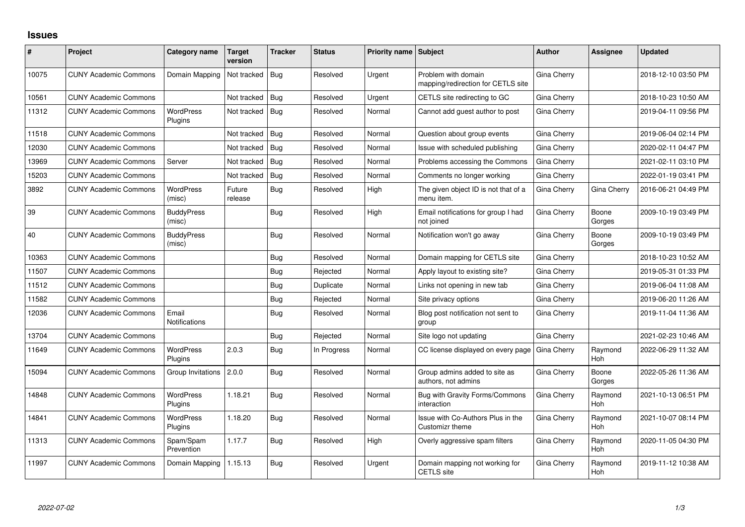## **Issues**

| #     | Project                      | Category name               | <b>Target</b><br>version | <b>Tracker</b> | <b>Status</b> | <b>Priority name Subject</b> |                                                           | <b>Author</b> | <b>Assignee</b>       | <b>Updated</b>      |
|-------|------------------------------|-----------------------------|--------------------------|----------------|---------------|------------------------------|-----------------------------------------------------------|---------------|-----------------------|---------------------|
| 10075 | <b>CUNY Academic Commons</b> | Domain Mapping              | Not tracked              | Bug            | Resolved      | Urgent                       | Problem with domain<br>mapping/redirection for CETLS site | Gina Cherry   |                       | 2018-12-10 03:50 PM |
| 10561 | <b>CUNY Academic Commons</b> |                             | Not tracked              | <b>Bug</b>     | Resolved      | Urgent                       | CETLS site redirecting to GC                              | Gina Cherry   |                       | 2018-10-23 10:50 AM |
| 11312 | <b>CUNY Academic Commons</b> | <b>WordPress</b><br>Plugins | Not tracked              | Bug            | Resolved      | Normal                       | Cannot add guest author to post                           | Gina Cherry   |                       | 2019-04-11 09:56 PM |
| 11518 | <b>CUNY Academic Commons</b> |                             | Not tracked              | Bug            | Resolved      | Normal                       | Question about group events                               | Gina Cherry   |                       | 2019-06-04 02:14 PM |
| 12030 | <b>CUNY Academic Commons</b> |                             | Not tracked              | Bug            | Resolved      | Normal                       | Issue with scheduled publishing                           | Gina Cherry   |                       | 2020-02-11 04:47 PM |
| 13969 | <b>CUNY Academic Commons</b> | Server                      | Not tracked              | Bug            | Resolved      | Normal                       | Problems accessing the Commons                            | Gina Cherry   |                       | 2021-02-11 03:10 PM |
| 15203 | <b>CUNY Academic Commons</b> |                             | Not tracked              | Bug            | Resolved      | Normal                       | Comments no longer working                                | Gina Cherry   |                       | 2022-01-19 03:41 PM |
| 3892  | <b>CUNY Academic Commons</b> | <b>WordPress</b><br>(misc)  | Future<br>release        | Bug            | Resolved      | High                         | The given object ID is not that of a<br>menu item.        | Gina Cherry   | Gina Cherry           | 2016-06-21 04:49 PM |
| 39    | <b>CUNY Academic Commons</b> | <b>BuddyPress</b><br>(misc) |                          | Bug            | Resolved      | High                         | Email notifications for group I had<br>not joined         | Gina Cherry   | Boone<br>Gorges       | 2009-10-19 03:49 PM |
| 40    | <b>CUNY Academic Commons</b> | <b>BuddyPress</b><br>(misc) |                          | Bug            | Resolved      | Normal                       | Notification won't go away                                | Gina Cherry   | Boone<br>Gorges       | 2009-10-19 03:49 PM |
| 10363 | <b>CUNY Academic Commons</b> |                             |                          | Bug            | Resolved      | Normal                       | Domain mapping for CETLS site                             | Gina Cherry   |                       | 2018-10-23 10:52 AM |
| 11507 | <b>CUNY Academic Commons</b> |                             |                          | Bug            | Rejected      | Normal                       | Apply layout to existing site?                            | Gina Cherry   |                       | 2019-05-31 01:33 PM |
| 11512 | <b>CUNY Academic Commons</b> |                             |                          | Bug            | Duplicate     | Normal                       | Links not opening in new tab                              | Gina Cherry   |                       | 2019-06-04 11:08 AM |
| 11582 | <b>CUNY Academic Commons</b> |                             |                          | Bug            | Rejected      | Normal                       | Site privacy options                                      | Gina Cherry   |                       | 2019-06-20 11:26 AM |
| 12036 | <b>CUNY Academic Commons</b> | Email<br>Notifications      |                          | Bug            | Resolved      | Normal                       | Blog post notification not sent to<br>group               | Gina Cherry   |                       | 2019-11-04 11:36 AM |
| 13704 | <b>CUNY Academic Commons</b> |                             |                          | Bug            | Rejected      | Normal                       | Site logo not updating                                    | Gina Cherry   |                       | 2021-02-23 10:46 AM |
| 11649 | <b>CUNY Academic Commons</b> | <b>WordPress</b><br>Plugins | 2.0.3                    | Bug            | In Progress   | Normal                       | CC license displayed on every page                        | Gina Cherry   | Raymond<br><b>Hoh</b> | 2022-06-29 11:32 AM |
| 15094 | <b>CUNY Academic Commons</b> | Group Invitations 2.0.0     |                          | Bug            | Resolved      | Normal                       | Group admins added to site as<br>authors, not admins      | Gina Cherry   | Boone<br>Gorges       | 2022-05-26 11:36 AM |
| 14848 | <b>CUNY Academic Commons</b> | <b>WordPress</b><br>Plugins | 1.18.21                  | Bug            | Resolved      | Normal                       | Bug with Gravity Forms/Commons<br>interaction             | Gina Cherry   | Raymond<br><b>Hoh</b> | 2021-10-13 06:51 PM |
| 14841 | <b>CUNY Academic Commons</b> | <b>WordPress</b><br>Plugins | 1.18.20                  | Bug            | Resolved      | Normal                       | Issue with Co-Authors Plus in the<br>Customizr theme      | Gina Cherry   | Raymond<br><b>Hoh</b> | 2021-10-07 08:14 PM |
| 11313 | <b>CUNY Academic Commons</b> | Spam/Spam<br>Prevention     | 1.17.7                   | Bug            | Resolved      | High                         | Overly aggressive spam filters                            | Gina Cherry   | Raymond<br><b>Hoh</b> | 2020-11-05 04:30 PM |
| 11997 | <b>CUNY Academic Commons</b> | Domain Mapping              | 1.15.13                  | Bug            | Resolved      | Urgent                       | Domain mapping not working for<br><b>CETLS</b> site       | Gina Cherry   | Raymond<br>Hoh        | 2019-11-12 10:38 AM |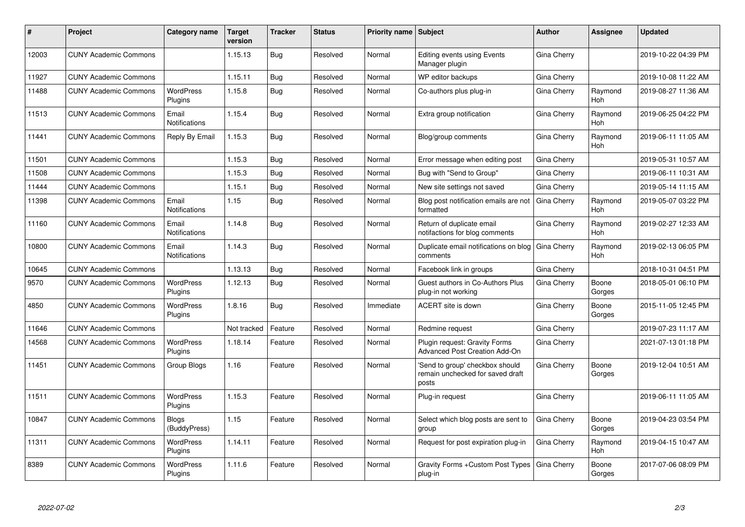| ∦     | Project                      | Category name                 | <b>Target</b><br>version | <b>Tracker</b> | <b>Status</b> | <b>Priority name Subject</b> |                                                                              | <b>Author</b>      | Assignee        | <b>Updated</b>      |
|-------|------------------------------|-------------------------------|--------------------------|----------------|---------------|------------------------------|------------------------------------------------------------------------------|--------------------|-----------------|---------------------|
| 12003 | <b>CUNY Academic Commons</b> |                               | 1.15.13                  | Bug            | Resolved      | Normal                       | <b>Editing events using Events</b><br>Manager plugin                         | Gina Cherry        |                 | 2019-10-22 04:39 PM |
| 11927 | <b>CUNY Academic Commons</b> |                               | 1.15.11                  | Bug            | Resolved      | Normal                       | WP editor backups                                                            | Gina Cherry        |                 | 2019-10-08 11:22 AM |
| 11488 | <b>CUNY Academic Commons</b> | <b>WordPress</b><br>Plugins   | 1.15.8                   | <b>Bug</b>     | Resolved      | Normal                       | Co-authors plus plug-in                                                      | Gina Cherry        | Raymond<br>Hoh  | 2019-08-27 11:36 AM |
| 11513 | <b>CUNY Academic Commons</b> | Email<br><b>Notifications</b> | 1.15.4                   | Bug            | Resolved      | Normal                       | Extra group notification                                                     | Gina Cherry        | Raymond<br>Hoh  | 2019-06-25 04:22 PM |
| 11441 | <b>CUNY Academic Commons</b> | Reply By Email                | 1.15.3                   | Bug            | Resolved      | Normal                       | Blog/group comments                                                          | Gina Cherry        | Raymond<br>Hoh  | 2019-06-11 11:05 AM |
| 11501 | <b>CUNY Academic Commons</b> |                               | 1.15.3                   | Bug            | Resolved      | Normal                       | Error message when editing post                                              | Gina Cherry        |                 | 2019-05-31 10:57 AM |
| 11508 | <b>CUNY Academic Commons</b> |                               | 1.15.3                   | Bug            | Resolved      | Normal                       | Bug with "Send to Group"                                                     | Gina Cherry        |                 | 2019-06-11 10:31 AM |
| 11444 | <b>CUNY Academic Commons</b> |                               | 1.15.1                   | Bug            | Resolved      | Normal                       | New site settings not saved                                                  | Gina Cherry        |                 | 2019-05-14 11:15 AM |
| 11398 | <b>CUNY Academic Commons</b> | Email<br><b>Notifications</b> | 1.15                     | Bug            | Resolved      | Normal                       | Blog post notification emails are not<br>formatted                           | Gina Cherry        | Raymond<br>Hoh  | 2019-05-07 03:22 PM |
| 11160 | <b>CUNY Academic Commons</b> | Email<br>Notifications        | 1.14.8                   | Bug            | Resolved      | Normal                       | Return of duplicate email<br>notifactions for blog comments                  | Gina Cherry        | Raymond<br>Hoh  | 2019-02-27 12:33 AM |
| 10800 | <b>CUNY Academic Commons</b> | Email<br><b>Notifications</b> | 1.14.3                   | Bug            | Resolved      | Normal                       | Duplicate email notifications on blog<br>comments                            | <b>Gina Cherry</b> | Raymond<br>Hoh  | 2019-02-13 06:05 PM |
| 10645 | <b>CUNY Academic Commons</b> |                               | 1.13.13                  | Bug            | Resolved      | Normal                       | Facebook link in groups                                                      | Gina Cherry        |                 | 2018-10-31 04:51 PM |
| 9570  | <b>CUNY Academic Commons</b> | <b>WordPress</b><br>Plugins   | 1.12.13                  | Bug            | Resolved      | Normal                       | Guest authors in Co-Authors Plus<br>plug-in not working                      | Gina Cherry        | Boone<br>Gorges | 2018-05-01 06:10 PM |
| 4850  | <b>CUNY Academic Commons</b> | <b>WordPress</b><br>Plugins   | 1.8.16                   | <b>Bug</b>     | Resolved      | Immediate                    | ACERT site is down                                                           | Gina Cherry        | Boone<br>Gorges | 2015-11-05 12:45 PM |
| 11646 | <b>CUNY Academic Commons</b> |                               | Not tracked              | Feature        | Resolved      | Normal                       | Redmine request                                                              | Gina Cherry        |                 | 2019-07-23 11:17 AM |
| 14568 | <b>CUNY Academic Commons</b> | <b>WordPress</b><br>Plugins   | 1.18.14                  | Feature        | Resolved      | Normal                       | Plugin request: Gravity Forms<br><b>Advanced Post Creation Add-On</b>        | Gina Cherry        |                 | 2021-07-13 01:18 PM |
| 11451 | <b>CUNY Academic Commons</b> | Group Blogs                   | 1.16                     | Feature        | Resolved      | Normal                       | 'Send to group' checkbox should<br>remain unchecked for saved draft<br>posts | Gina Cherry        | Boone<br>Gorges | 2019-12-04 10:51 AM |
| 11511 | <b>CUNY Academic Commons</b> | <b>WordPress</b><br>Plugins   | 1.15.3                   | Feature        | Resolved      | Normal                       | Plug-in request                                                              | Gina Cherry        |                 | 2019-06-11 11:05 AM |
| 10847 | <b>CUNY Academic Commons</b> | <b>Blogs</b><br>(BuddyPress)  | 1.15                     | Feature        | Resolved      | Normal                       | Select which blog posts are sent to<br>group                                 | Gina Cherry        | Boone<br>Gorges | 2019-04-23 03:54 PM |
| 11311 | <b>CUNY Academic Commons</b> | <b>WordPress</b><br>Plugins   | 1.14.11                  | Feature        | Resolved      | Normal                       | Request for post expiration plug-in                                          | Gina Cherry        | Raymond<br>Hoh  | 2019-04-15 10:47 AM |
| 8389  | <b>CUNY Academic Commons</b> | WordPress<br>Plugins          | 1.11.6                   | Feature        | Resolved      | Normal                       | Gravity Forms + Custom Post Types<br>plug-in                                 | Gina Cherry        | Boone<br>Gorges | 2017-07-06 08:09 PM |